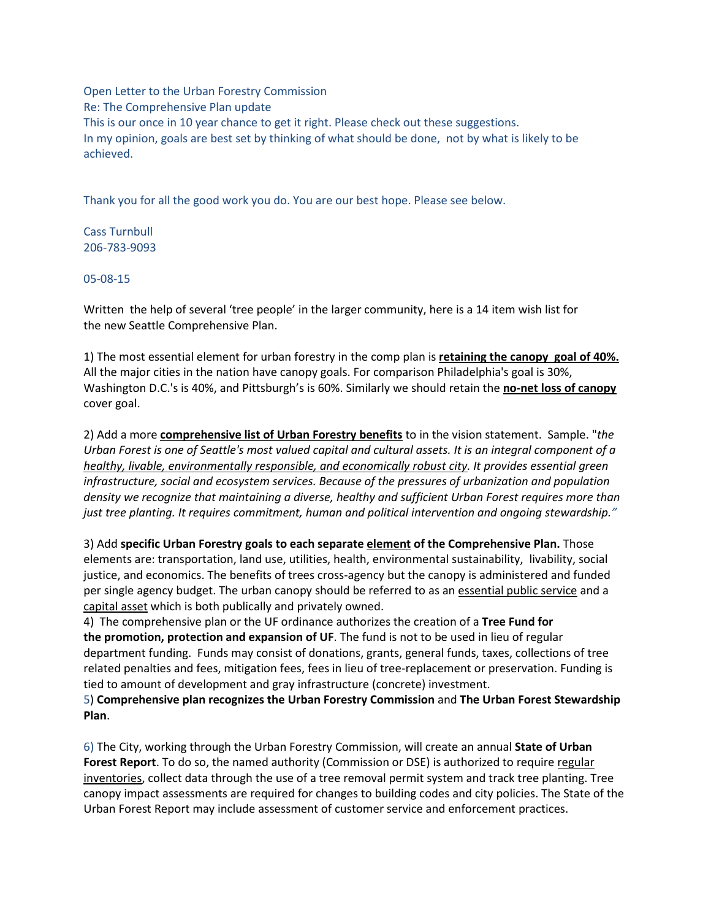Open Letter to the Urban Forestry Commission Re: The Comprehensive Plan update This is our once in 10 year chance to get it right. Please check out these suggestions. In my opinion, goals are best set by thinking of what should be done, not by what is likely to be achieved.

Thank you for all the good work you do. You are our best hope. Please see below.

Cass Turnbull 206-783-9093

05-08-15

Written the help of several 'tree people' in the larger community, here is a 14 item wish list for the new Seattle Comprehensive Plan.

1) The most essential element for urban forestry in the comp plan is **retaining the canopy goal of 40%.** All the major cities in the nation have canopy goals. For comparison Philadelphia's goal is 30%, Washington D.C.'s is 40%, and Pittsburgh's is 60%. Similarly we should retain the **no-net loss of canopy** cover goal.

2) Add a more **comprehensive list of Urban Forestry benefits** to in the vision statement. Sample. "*the Urban Forest is one of Seattle's most valued capital and cultural assets. It is an integral component of a healthy, livable, environmentally responsible, and economically robust city. It provides essential green infrastructure, social and ecosystem services. Because of the pressures of urbanization and population density we recognize that maintaining a diverse, healthy and sufficient Urban Forest requires more than just tree planting. It requires commitment, human and political intervention and ongoing stewardship."*

3) Add **specific Urban Forestry goals to each separate element of the Comprehensive Plan.** Those elements are: transportation, land use, utilities, health, environmental sustainability, livability, social justice, and economics. The benefits of trees cross-agency but the canopy is administered and funded per single agency budget. The urban canopy should be referred to as an essential public service and a capital asset which is both publically and privately owned.

4) The comprehensive plan or the UF ordinance authorizes the creation of a **Tree Fund for the promotion, protection and expansion of UF**. The fund is not to be used in lieu of regular department funding. Funds may consist of donations, grants, general funds, taxes, collections of tree related penalties and fees, mitigation fees, fees in lieu of tree-replacement or preservation. Funding is tied to amount of development and gray infrastructure (concrete) investment.

5) **Comprehensive plan recognizes the Urban Forestry Commission** and **The Urban Forest Stewardship Plan**.

6) The City, working through the Urban Forestry Commission, will create an annual **State of Urban Forest Report**. To do so, the named authority (Commission or DSE) is authorized to require regular inventories, collect data through the use of a tree removal permit system and track tree planting. Tree canopy impact assessments are required for changes to building codes and city policies. The State of the Urban Forest Report may include assessment of customer service and enforcement practices.